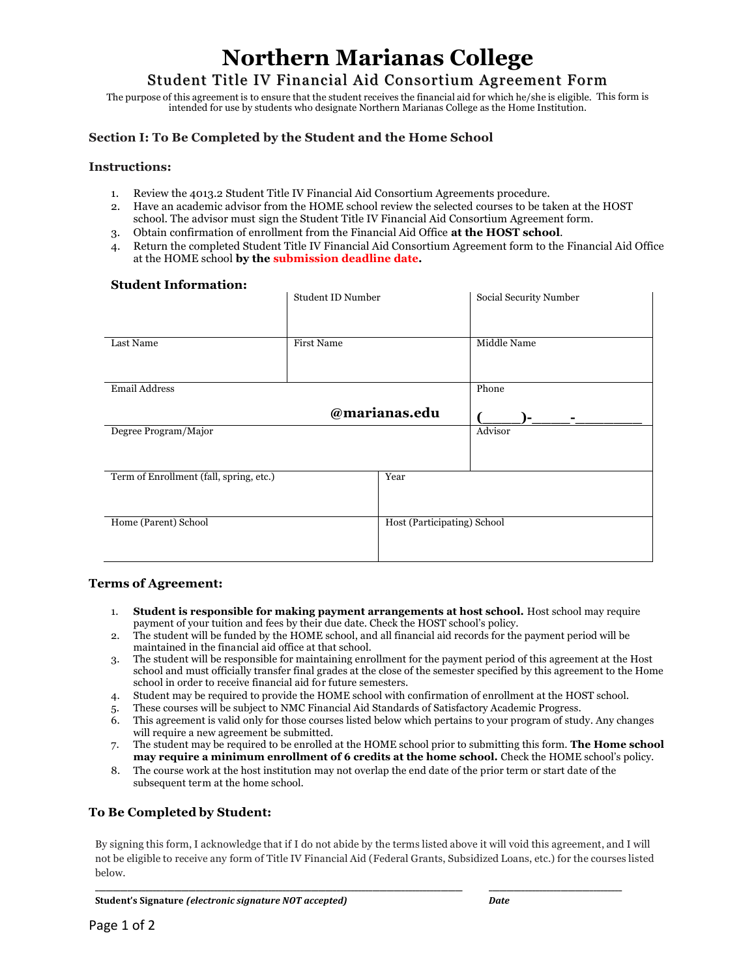# **Northern Marianas College**

Student Title IV Financial Aid Consortium Agreement Form

The purpose of this agreement is to ensure that the student receives the financial aid for which he/she is eligible. This form is intended for use by students who designate Northern Marianas College as the Home Institution.

### **Section I: To Be Completed by the Student and the Home School**

#### **Instructions:**

- 1. Review the 4013.2 Student Title IV Financial Aid Consortium Agreements procedure.
- 2. Have an academic advisor from the HOME school review the selected courses to be taken at the HOST school. The advisor must sign the Student Title IV Financial Aid Consortium Agreement form.
- 3. Obtain confirmation of enrollment from the Financial Aid Office **at the HOST school**.
- 4. Return the completed Student Title IV Financial Aid Consortium Agreement form to the Financial Aid Office at the HOME school **by the submission deadline date.**

# **Student Information:**

|                                         | Student ID Number |                             | Social Security Number |  |  |
|-----------------------------------------|-------------------|-----------------------------|------------------------|--|--|
| Last Name                               | First Name        |                             | Middle Name            |  |  |
| <b>Email Address</b>                    |                   |                             | Phone                  |  |  |
| @marianas.edu                           |                   |                             | Ξ.                     |  |  |
| Degree Program/Major                    |                   |                             | Advisor                |  |  |
| Term of Enrollment (fall, spring, etc.) |                   | Year                        |                        |  |  |
| Home (Parent) School                    |                   | Host (Participating) School |                        |  |  |

#### **Terms of Agreement:**

- 1. **Student is responsible for making payment arrangements at host school.** Host school may require payment of your tuition and fees by their due date. Check the HOST school's policy.
- 2. The student will be funded by the HOME school, and all financial aid records for the payment period will be maintained in the financial aid office at that school.
- 3. The student will be responsible for maintaining enrollment for the payment period of this agreement at the Host school and must officially transfer final grades at the close of the semester specified by this agreement to the Home school in order to receive financial aid for future semesters.
- 4. Student may be required to provide the HOME school with confirmation of enrollment at the HOST school.
- 5. These courses will be subject to NMC Financial Aid Standards of Satisfactory Academic Progress.
- 6. This agreement is valid only for those courses listed below which pertains to your program of study. Any changes will require a new agreement be submitted.
- 7. The student may be required to be enrolled at the HOME school prior to submitting this form. **The Home school may require a minimum enrollment of 6 credits at the home school.** Check the HOME school's policy.
- 8. The course work at the host institution may not overlap the end date of the prior term or start date of the subsequent term at the home school.

# **To Be Completed by Student:**

By signing this form, I acknowledge that if I do not abide by the terms listed above it will void this agreement, and I will not be eligible to receive any form of Title IV Financial Aid (Federal Grants, Subsidized Loans, etc.) for the courses listed below.

**\_\_\_\_\_\_\_\_\_\_\_\_\_\_\_\_\_\_\_\_\_\_\_\_\_\_\_\_\_\_\_\_\_\_\_\_\_\_\_\_\_\_\_\_\_\_\_\_\_\_\_\_\_\_\_\_\_\_\_\_\_\_\_\_\_\_\_\_\_\_\_\_\_\_\_\_\_\_\_\_\_\_\_\_\_\_\_\_\_\_\_\_\_\_\_\_\_\_\_\_\_\_ \_\_\_\_\_\_\_\_\_\_\_\_\_\_\_\_\_\_\_\_\_\_\_\_\_\_\_\_\_\_\_\_\_\_\_\_\_**

**Student's Signature** *(electronic\*signature NOT accepted) Date*